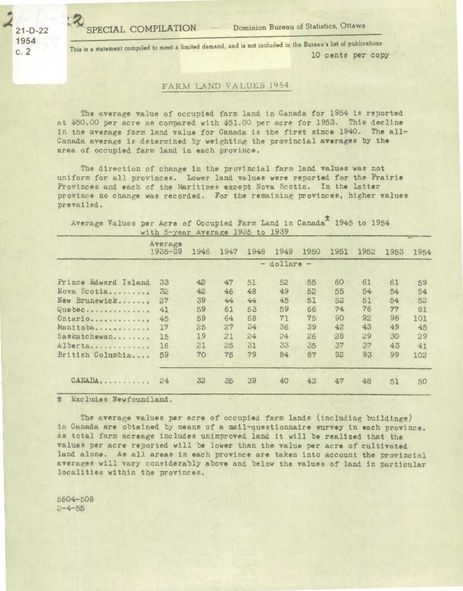SPECIAL COMPILATION - Dominion Bureau of Statistics, Ottawa

21-D-22 *1954*  c. 2

This is a statement compiled to meet a limited demand, and is not included in the Bureau's list of publications **10 cents per copy** 

## **FARM** LAND VALUES 1954

The average value of occupied farm land in Canada for 1954 is reported at \$50.00 per acre as compared with \$51.00 per acre for 1953. This decline in the average farm land value for Canada is the first since 1940. The all-Canada average *1t* determined by weighting the provincial **averages** by the area of occupied farm land in each province.

The direction of change in the provincial farm land values was not uniform for all provinces. Lower land values were reported for the Prairie Provinces *and* each of the Maritimes except Nova Scotia. In the latter province no change was recorded. For the remaining provinces, higher values prevailed.

Average Values per Acre of Occupied Farm Land in Canada<sup>1</sup> 1945 to 1954 with 5-year Average 1935 to 1939

|                      | Average<br>$1935 - 39$ | 1946            | 1947 | 1948 | 1949 | 1950 | 1951 | 1952 | 1953 | 1954 |  |
|----------------------|------------------------|-----------------|------|------|------|------|------|------|------|------|--|
|                      |                        | $-$ dollars $-$ |      |      |      |      |      |      |      |      |  |
| Prince Edward Island | 33                     | 42              | 47   | 51   | 52   | 55   | 60   | 61   | 61   | 59   |  |
| Nova Scotia          | 32                     | 42              | 46   | 48   | 49   | 52   | 55   | 54   | 54   | 54   |  |
| New Brunswick        | 27                     | 39              | 44   | 44   | 45   | 51   | 52   | 51   | 54   | 52   |  |
| Quebec               | 41                     | 59              | 61   | 63   | 59   | 66   | 74   | 76   | 77   | 81   |  |
| Cntario              | 45                     | 59              | 64   | 68   | 71   | 75   | 90   | 92   | 98   | 101  |  |
| Manitoba             | 17                     | 25              | 27   | 34   | 36   | 39   | 42   | 43   | 49   | 45   |  |
| Saskatchewan         | 15                     | 19              | 21   | 24   | 24   | 26   | 28   | 29   | 30   | 29   |  |
| Alberta              | 16                     | 21              | 25   | 31   | 33   | 35   | 37   | 37   | 43   | 41   |  |
| British Columbia     | 59                     | 70              | 75   | 79   | 84   | 87   | 92   | 93   | 99   | 102  |  |
| CANADA               | 24                     | 32              | 35   | 39   | 40   | 43   | 47   | 48   | 51   | 50   |  |

\* Excludes Newfoundland.

The **average valuss per** acre of occupied farm lands (including buildings) in Canada are obtained by means of a mail-questionnaire survey in each province. As total farm acreage includes unimproved land it will be realized that the values per acre reported will be lower than the value per acre of cultivated land alone. As all areas in each province are taken into account the provincial averages will vary considerably above and below the values of land in particular localities within the provinces.

5504-508  $2 - 4 - 55$